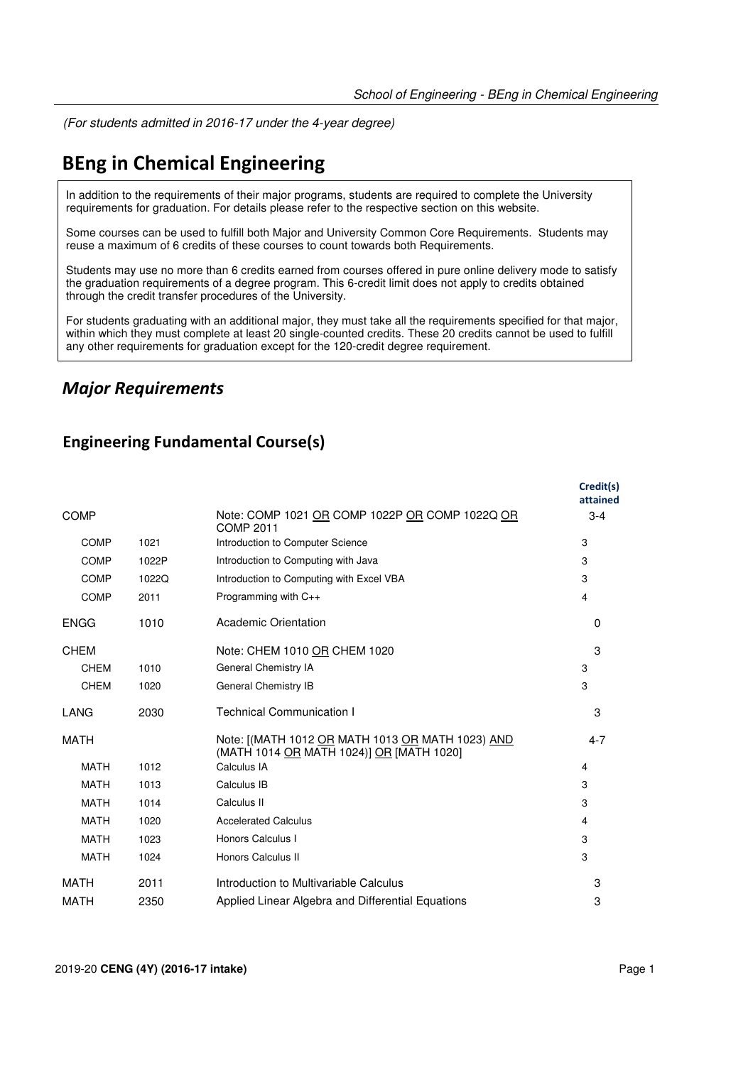(For students admitted in 2016-17 under the 4-year degree)

## **BEng in Chemical Engineering**

In addition to the requirements of their major programs, students are required to complete the University requirements for graduation. For details please refer to the respective section on this website.

Some courses can be used to fulfill both Major and University Common Core Requirements. Students may reuse a maximum of 6 credits of these courses to count towards both Requirements.

Students may use no more than 6 credits earned from courses offered in pure online delivery mode to satisfy the graduation requirements of a degree program. This 6-credit limit does not apply to credits obtained through the credit transfer procedures of the University.

For students graduating with an additional major, they must take all the requirements specified for that major, within which they must complete at least 20 single-counted credits. These 20 credits cannot be used to fulfill any other requirements for graduation except for the 120-credit degree requirement.

## *Major Requirements*

### **Engineering Fundamental Course(s)**

|             |       |                                                                                              | Credit(s)<br>attained |
|-------------|-------|----------------------------------------------------------------------------------------------|-----------------------|
| <b>COMP</b> |       | Note: COMP 1021 OR COMP 1022P OR COMP 1022Q OR<br><b>COMP 2011</b>                           | $3 - 4$               |
| <b>COMP</b> | 1021  | Introduction to Computer Science                                                             | 3                     |
| <b>COMP</b> | 1022P | Introduction to Computing with Java                                                          | 3                     |
| COMP        | 1022Q | Introduction to Computing with Excel VBA                                                     | 3                     |
| <b>COMP</b> | 2011  | Programming with C++                                                                         | 4                     |
| <b>ENGG</b> | 1010  | Academic Orientation                                                                         | $\Omega$              |
| <b>CHEM</b> |       | Note: CHEM 1010 OR CHEM 1020                                                                 | 3                     |
| <b>CHEM</b> | 1010  | General Chemistry IA                                                                         | 3                     |
| <b>CHEM</b> | 1020  | General Chemistry IB                                                                         | 3                     |
| LANG        | 2030  | <b>Technical Communication I</b>                                                             | 3                     |
| <b>MATH</b> |       | Note: [(MATH 1012 OR MATH 1013 OR MATH 1023) AND<br>(MATH 1014 OR MATH 1024)] OR [MATH 1020] | $4 - 7$               |
| <b>MATH</b> | 1012  | Calculus IA                                                                                  | 4                     |
| <b>MATH</b> | 1013  | Calculus IB                                                                                  | 3                     |
| <b>MATH</b> | 1014  | Calculus II                                                                                  | 3                     |
| <b>MATH</b> | 1020  | <b>Accelerated Calculus</b>                                                                  | 4                     |
| <b>MATH</b> | 1023  | Honors Calculus I                                                                            | 3                     |
| <b>MATH</b> | 1024  | Honors Calculus II                                                                           | 3                     |
| MATH        | 2011  | Introduction to Multivariable Calculus                                                       | 3                     |
| <b>MATH</b> | 2350  | Applied Linear Algebra and Differential Equations                                            | 3                     |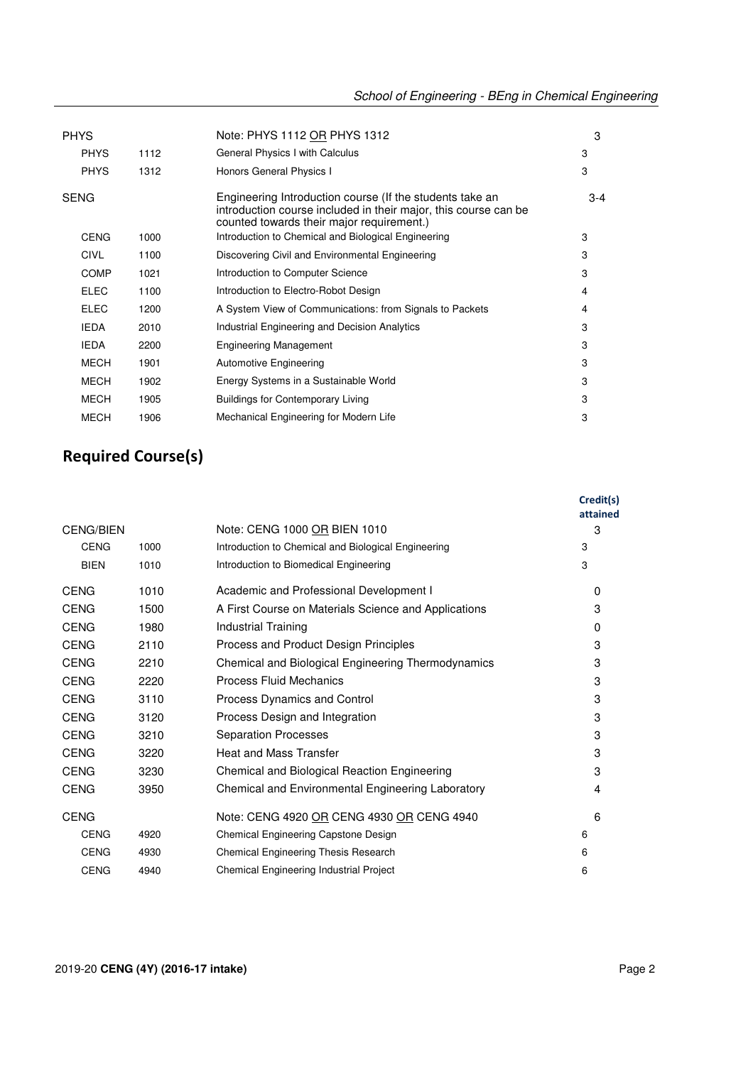| <b>PHYS</b> |      | Note: PHYS 1112 OR PHYS 1312                                                                                                                                             | 3     |
|-------------|------|--------------------------------------------------------------------------------------------------------------------------------------------------------------------------|-------|
| <b>PHYS</b> | 1112 | General Physics I with Calculus                                                                                                                                          | 3     |
| <b>PHYS</b> | 1312 | Honors General Physics I                                                                                                                                                 | 3     |
| <b>SENG</b> |      | Engineering Introduction course (If the students take an<br>introduction course included in their major, this course can be<br>counted towards their major requirement.) | $3-4$ |
| <b>CENG</b> | 1000 | Introduction to Chemical and Biological Engineering                                                                                                                      | 3     |
| <b>CIVL</b> | 1100 | Discovering Civil and Environmental Engineering                                                                                                                          | 3     |
| <b>COMP</b> | 1021 | Introduction to Computer Science                                                                                                                                         | 3     |
| <b>ELEC</b> | 1100 | Introduction to Electro-Robot Design                                                                                                                                     | 4     |
| <b>ELEC</b> | 1200 | A System View of Communications: from Signals to Packets                                                                                                                 | 4     |
| <b>IEDA</b> | 2010 | Industrial Engineering and Decision Analytics                                                                                                                            | 3     |
| <b>IEDA</b> | 2200 | <b>Engineering Management</b>                                                                                                                                            | 3     |
| <b>MECH</b> | 1901 | <b>Automotive Engineering</b>                                                                                                                                            | 3     |
| <b>MECH</b> | 1902 | Energy Systems in a Sustainable World                                                                                                                                    | 3     |
| <b>MECH</b> | 1905 | <b>Buildings for Contemporary Living</b>                                                                                                                                 | 3     |
| <b>MECH</b> | 1906 | Mechanical Engineering for Modern Life                                                                                                                                   | 3     |

# **Required Course(s)**

|                  |      |                                                      | Credit(s)<br>attained |
|------------------|------|------------------------------------------------------|-----------------------|
| <b>CENG/BIEN</b> |      | Note: CENG 1000 OR BIEN 1010                         | 3                     |
| <b>CENG</b>      | 1000 | Introduction to Chemical and Biological Engineering  | 3                     |
| <b>BIEN</b>      | 1010 | Introduction to Biomedical Engineering               | 3                     |
| <b>CENG</b>      | 1010 | Academic and Professional Development I              | 0                     |
| <b>CENG</b>      | 1500 | A First Course on Materials Science and Applications | 3                     |
| <b>CENG</b>      | 1980 | Industrial Training                                  | $\Omega$              |
| <b>CENG</b>      | 2110 | Process and Product Design Principles                | 3                     |
| <b>CENG</b>      | 2210 | Chemical and Biological Engineering Thermodynamics   | 3                     |
| <b>CENG</b>      | 2220 | Process Fluid Mechanics                              | 3                     |
| <b>CENG</b>      | 3110 | Process Dynamics and Control                         | 3                     |
| <b>CENG</b>      | 3120 | Process Design and Integration                       | 3                     |
| <b>CENG</b>      | 3210 | <b>Separation Processes</b>                          | 3                     |
| <b>CENG</b>      | 3220 | <b>Heat and Mass Transfer</b>                        | 3                     |
| <b>CENG</b>      | 3230 | Chemical and Biological Reaction Engineering         | 3                     |
| <b>CENG</b>      | 3950 | Chemical and Environmental Engineering Laboratory    | 4                     |
| <b>CENG</b>      |      | Note: CENG 4920 OR CENG 4930 OR CENG 4940            | 6                     |
| <b>CENG</b>      | 4920 | Chemical Engineering Capstone Design                 | 6                     |
| <b>CENG</b>      | 4930 | Chemical Engineering Thesis Research                 | 6                     |
| <b>CENG</b>      | 4940 | Chemical Engineering Industrial Project              | 6                     |